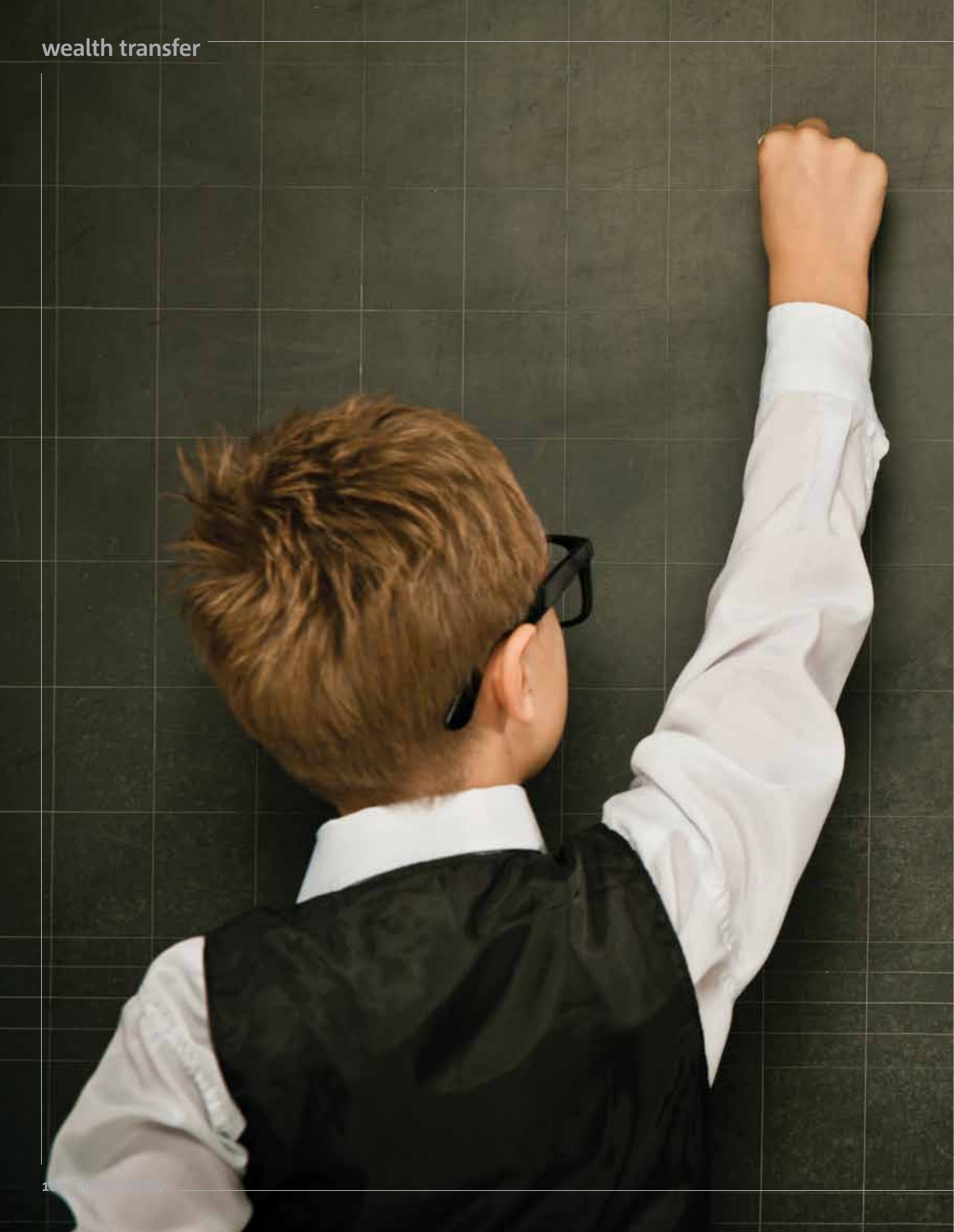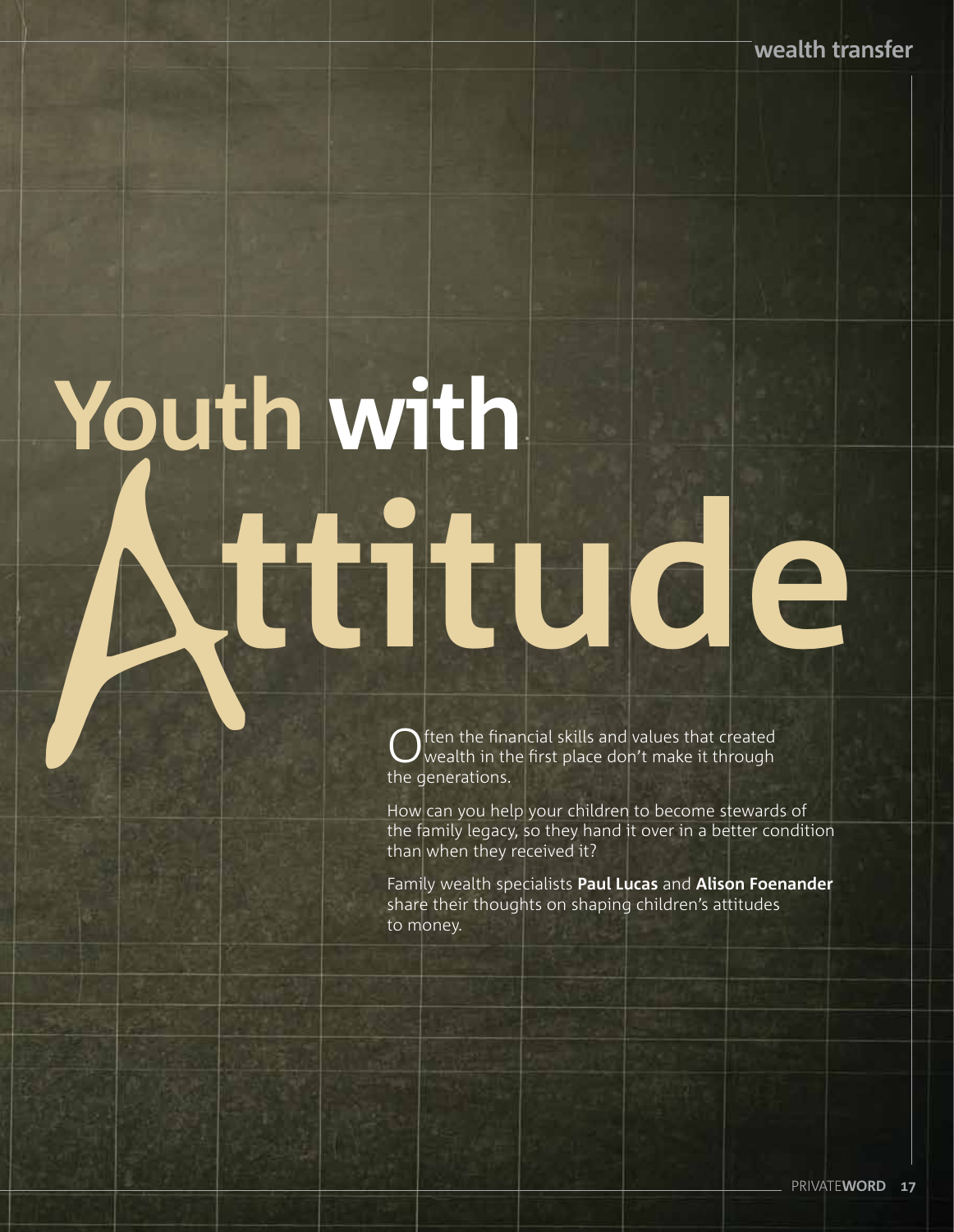# **Youth with** A**ttitude**

Iften the financial skills and values that created wealth in the first place don't make it through the generations.

How can you help your children to become stewards of the family legacy, so they hand it over in a better condition than when they received it?

Family wealth specialists **Paul Lucas** and **Alison Foenander** share their thoughts on shaping children's attitudes to money.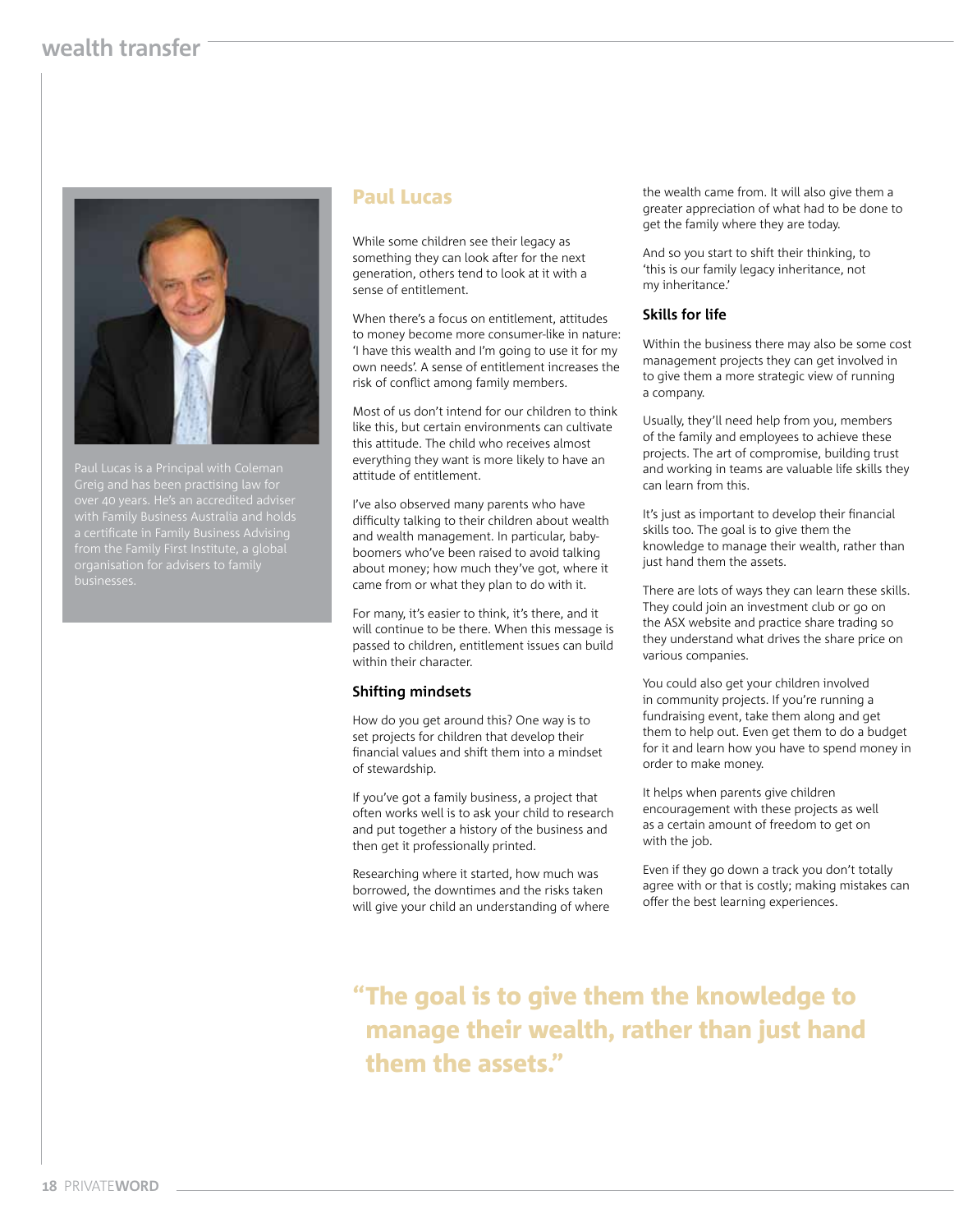

Paul Lucas is a Principal with Coleman Greig and has been practising law for

# Paul Lucas

While some children see their legacy as something they can look after for the next generation, others tend to look at it with a sense of entitlement.

When there's a focus on entitlement, attitudes to money become more consumer-like in nature: 'I have this wealth and I'm going to use it for my own needs'. A sense of entitlement increases the risk of conflict among family members.

Most of us don't intend for our children to think like this, but certain environments can cultivate this attitude. The child who receives almost everything they want is more likely to have an attitude of entitlement.

I've also observed many parents who have difficulty talking to their children about wealth and wealth management. In particular, babyboomers who've been raised to avoid talking about money; how much they've got, where it came from or what they plan to do with it.

For many, it's easier to think, it's there, and it will continue to be there. When this message is passed to children, entitlement issues can build within their character.

# **Shifting mindsets**

How do you get around this? One way is to set projects for children that develop their financial values and shift them into a mindset of stewardship.

If you've got a family business, a project that often works well is to ask your child to research and put together a history of the business and then get it professionally printed.

Researching where it started, how much was borrowed, the downtimes and the risks taken will give your child an understanding of where the wealth came from. It will also give them a greater appreciation of what had to be done to get the family where they are today.

And so you start to shift their thinking, to 'this is our family legacy inheritance, not my inheritance.'

# **Skills for life**

Within the business there may also be some cost management projects they can get involved in to give them a more strategic view of running a company.

Usually, they'll need help from you, members of the family and employees to achieve these projects. The art of compromise, building trust and working in teams are valuable life skills they can learn from this.

It's just as important to develop their financial skills too. The goal is to give them the knowledge to manage their wealth, rather than just hand them the assets.

There are lots of ways they can learn these skills. They could join an investment club or go on the ASX website and practice share trading so they understand what drives the share price on various companies.

You could also get your children involved in community projects. If you're running a fundraising event, take them along and get them to help out. Even get them to do a budget for it and learn how you have to spend money in order to make money.

It helps when parents give children encouragement with these projects as well as a certain amount of freedom to get on with the job.

Even if they go down a track you don't totally agree with or that is costly; making mistakes can offer the best learning experiences.

"The goal is to give them the knowledge to manage their wealth, rather than just hand them the assets."